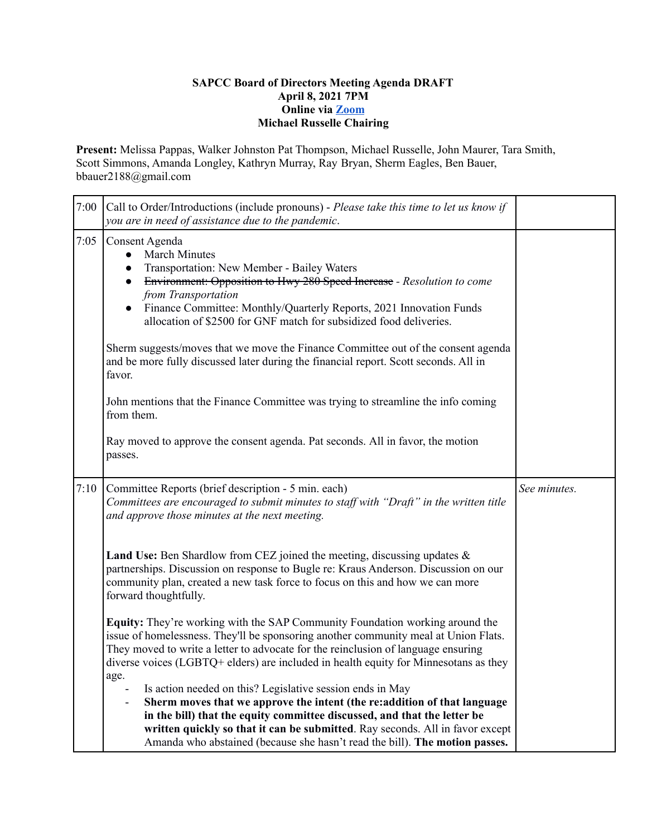## **SAPCC Board of Directors Meeting Agenda DRAFT April 8, 2021 7PM Online via [Zoom](https://zoom.us/j/94313936880?pwd=MVVwU2xGTkJGVE1YM1g2Z2Z5UGhHdz09) Michael Russelle Chairing**

**Present:** Melissa Pappas, Walker Johnston Pat Thompson, Michael Russelle, John Maurer, Tara Smith, Scott Simmons, Amanda Longley, Kathryn Murray, Ray Bryan, Sherm Eagles, Ben Bauer, bbauer2188@gmail.com

| 7:00 | Call to Order/Introductions (include pronouns) - Please take this time to let us know if<br>you are in need of assistance due to the pandemic.                                                                                                                                                                                                                                                                                                                                                                                                                                |              |
|------|-------------------------------------------------------------------------------------------------------------------------------------------------------------------------------------------------------------------------------------------------------------------------------------------------------------------------------------------------------------------------------------------------------------------------------------------------------------------------------------------------------------------------------------------------------------------------------|--------------|
| 7:05 | Consent Agenda<br><b>March Minutes</b><br>$\bullet$<br>Transportation: New Member - Bailey Waters<br>$\bullet$<br>Environment: Opposition to Hwy 280 Speed Increase - Resolution to come<br>$\bullet$<br>from Transportation<br>Finance Committee: Monthly/Quarterly Reports, 2021 Innovation Funds<br>$\bullet$<br>allocation of \$2500 for GNF match for subsidized food deliveries.<br>Sherm suggests/moves that we move the Finance Committee out of the consent agenda<br>and be more fully discussed later during the financial report. Scott seconds. All in<br>favor. |              |
|      | John mentions that the Finance Committee was trying to streamline the info coming<br>from them.                                                                                                                                                                                                                                                                                                                                                                                                                                                                               |              |
|      | Ray moved to approve the consent agenda. Pat seconds. All in favor, the motion<br>passes.                                                                                                                                                                                                                                                                                                                                                                                                                                                                                     |              |
| 7:10 | Committee Reports (brief description - 5 min. each)<br>Committees are encouraged to submit minutes to staff with "Draft" in the written title<br>and approve those minutes at the next meeting.                                                                                                                                                                                                                                                                                                                                                                               | See minutes. |
|      |                                                                                                                                                                                                                                                                                                                                                                                                                                                                                                                                                                               |              |
|      | <b>Land Use:</b> Ben Shardlow from CEZ joined the meeting, discussing updates $\&$<br>partnerships. Discussion on response to Bugle re: Kraus Anderson. Discussion on our<br>community plan, created a new task force to focus on this and how we can more<br>forward thoughtfully.                                                                                                                                                                                                                                                                                           |              |
|      | <b>Equity:</b> They're working with the SAP Community Foundation working around the<br>issue of homelessness. They'll be sponsoring another community meal at Union Flats.<br>They moved to write a letter to advocate for the reinclusion of language ensuring<br>diverse voices (LGBTQ+ elders) are included in health equity for Minnesotans as they<br>age.                                                                                                                                                                                                               |              |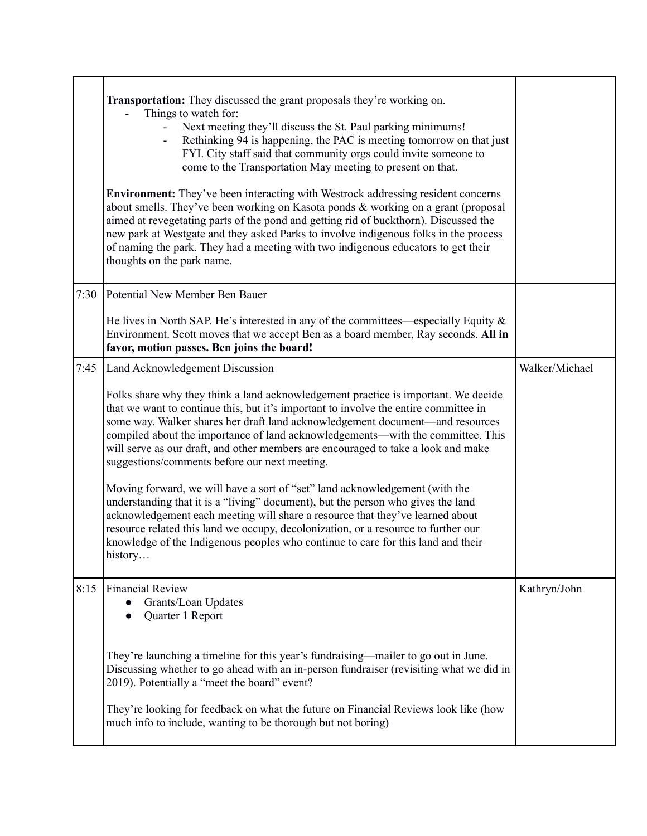|      | <b>Transportation:</b> They discussed the grant proposals they're working on.<br>Things to watch for:<br>Next meeting they'll discuss the St. Paul parking minimums!<br>Rethinking 94 is happening, the PAC is meeting tomorrow on that just<br>FYI. City staff said that community orgs could invite someone to<br>come to the Transportation May meeting to present on that.<br><b>Environment:</b> They've been interacting with Westrock addressing resident concerns<br>about smells. They've been working on Kasota ponds $\&$ working on a grant (proposal<br>aimed at revegetating parts of the pond and getting rid of buckthorn). Discussed the<br>new park at Westgate and they asked Parks to involve indigenous folks in the process<br>of naming the park. They had a meeting with two indigenous educators to get their<br>thoughts on the park name. |                |
|------|----------------------------------------------------------------------------------------------------------------------------------------------------------------------------------------------------------------------------------------------------------------------------------------------------------------------------------------------------------------------------------------------------------------------------------------------------------------------------------------------------------------------------------------------------------------------------------------------------------------------------------------------------------------------------------------------------------------------------------------------------------------------------------------------------------------------------------------------------------------------|----------------|
| 7:30 | Potential New Member Ben Bauer                                                                                                                                                                                                                                                                                                                                                                                                                                                                                                                                                                                                                                                                                                                                                                                                                                       |                |
|      | He lives in North SAP. He's interested in any of the committees—especially Equity $\&$<br>Environment. Scott moves that we accept Ben as a board member, Ray seconds. All in<br>favor, motion passes. Ben joins the board!                                                                                                                                                                                                                                                                                                                                                                                                                                                                                                                                                                                                                                           |                |
| 7:45 | Land Acknowledgement Discussion                                                                                                                                                                                                                                                                                                                                                                                                                                                                                                                                                                                                                                                                                                                                                                                                                                      | Walker/Michael |
|      | Folks share why they think a land acknowledgement practice is important. We decide<br>that we want to continue this, but it's important to involve the entire committee in<br>some way. Walker shares her draft land acknowledgement document-and resources<br>compiled about the importance of land acknowledgements—with the committee. This<br>will serve as our draft, and other members are encouraged to take a look and make<br>suggestions/comments before our next meeting.                                                                                                                                                                                                                                                                                                                                                                                 |                |
|      | Moving forward, we will have a sort of "set" land acknowledgement (with the<br>understanding that it is a "living" document), but the person who gives the land<br>acknowledgement each meeting will share a resource that they've learned about<br>resource related this land we occupy, decolonization, or a resource to further our<br>knowledge of the Indigenous peoples who continue to care for this land and their<br>history                                                                                                                                                                                                                                                                                                                                                                                                                                |                |
| 8:15 | <b>Financial Review</b><br>Grants/Loan Updates<br>Quarter 1 Report                                                                                                                                                                                                                                                                                                                                                                                                                                                                                                                                                                                                                                                                                                                                                                                                   | Kathryn/John   |
|      | They're launching a timeline for this year's fundraising—mailer to go out in June.<br>Discussing whether to go ahead with an in-person fundraiser (revisiting what we did in<br>2019). Potentially a "meet the board" event?                                                                                                                                                                                                                                                                                                                                                                                                                                                                                                                                                                                                                                         |                |
|      | They're looking for feedback on what the future on Financial Reviews look like (how<br>much info to include, wanting to be thorough but not boring)                                                                                                                                                                                                                                                                                                                                                                                                                                                                                                                                                                                                                                                                                                                  |                |